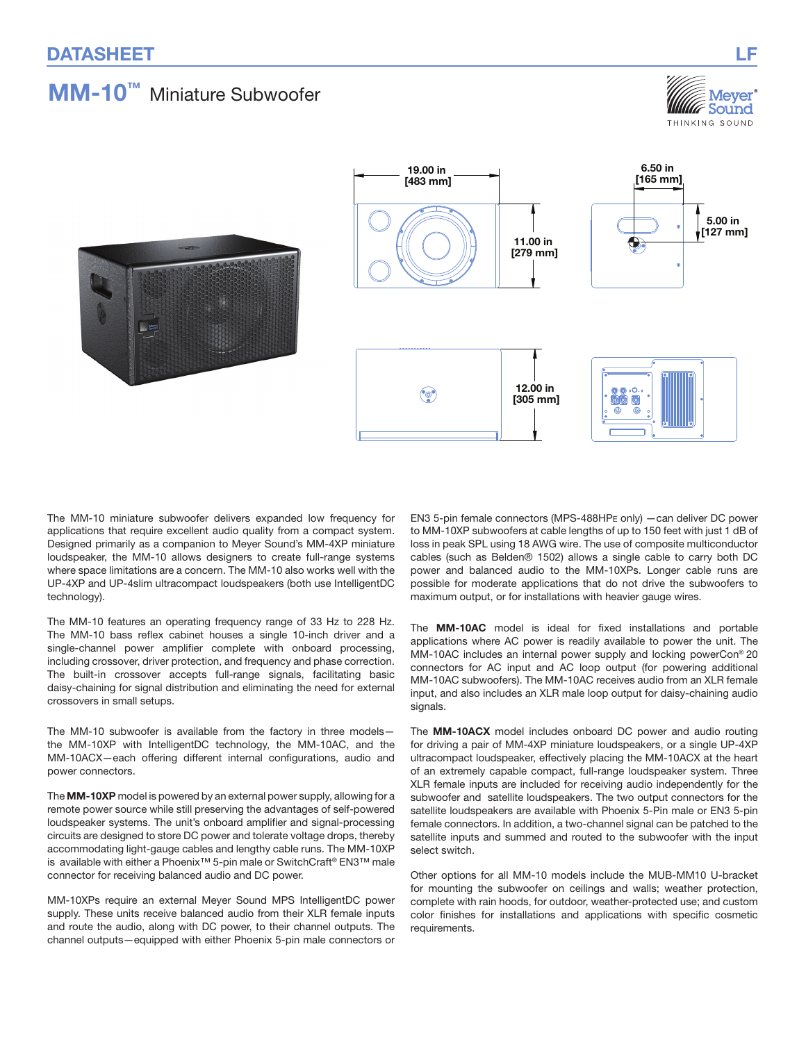# MM-10™ Miniature Subwoofer







The MM-10 miniature subwoofer delivers expanded low frequency for applications that require excellent audio quality from a compact system. Designed primarily as a companion to Meyer Sound's MM‑4XP miniature loudspeaker, the MM-10 allows designers to create full-range systems where space limitations are a concern. The MM-10 also works well with the UP‑4XP and UP-4slim ultracompact loudspeakers (both use IntelligentDC technology).

The MM-10 features an operating frequency range of 33 Hz to 228 Hz. The MM-10 bass reflex cabinet houses a single 10-inch driver and a single-channel power amplifier complete with onboard processing, including crossover, driver protection, and frequency and phase correction. The built-in crossover accepts full-range signals, facilitating basic daisy‑chaining for signal distribution and eliminating the need for external crossovers in small setups.

The MM-10 subwoofer is available from the factory in three modelsthe MM-10XP with IntelligentDC technology, the MM-10AC, and the MM‑10ACX—each offering different internal configurations, audio and power connectors.

The MM-10XP model is powered by an external power supply, allowing for a remote power source while still preserving the advantages of self-powered loudspeaker systems. The unit's onboard amplifier and signal-processing circuits are designed to store DC power and tolerate voltage drops, thereby accommodating light-gauge cables and lengthy cable runs. The MM‑10XP is available with either a Phoenix™ 5-pin male or SwitchCraft® EN3™ male connector for receiving balanced audio and DC power.

MM‑10XPs require an external Meyer Sound MPS IntelligentDC power supply. These units receive balanced audio from their XLR female inputs and route the audio, along with DC power, to their channel outputs. The channel outputs—equipped with either Phoenix 5-pin male connectors or EN3 5-pin female connectors (MPS-488HPE only) —can deliver DC power to MM‑10XP subwoofers at cable lengths of up to 150 feet with just 1 dB of loss in peak SPL using 18 AWG wire. The use of composite multiconductor cables (such as Belden® 1502) allows a single cable to carry both DC power and balanced audio to the MM‑10XPs. Longer cable runs are possible for moderate applications that do not drive the subwoofers to maximum output, or for installations with heavier gauge wires.

The MM-10AC model is ideal for fixed installations and portable applications where AC power is readily available to power the unit. The MM‑10AC includes an internal power supply and locking powerCon® 20 connectors for AC input and AC loop output (for powering additional MM‑10AC subwoofers). The MM‑10AC receives audio from an XLR female input, and also includes an XLR male loop output for daisy-chaining audio signals.

The MM-10ACX model includes onboard DC power and audio routing for driving a pair of MM‑4XP miniature loudspeakers, or a single UP‑4XP ultracompact loudspeaker, effectively placing the MM‑10ACX at the heart of an extremely capable compact, full-range loudspeaker system. Three XLR female inputs are included for receiving audio independently for the subwoofer and satellite loudspeakers. The two output connectors for the satellite loudspeakers are available with Phoenix 5-Pin male or EN3 5-pin female connectors. In addition, a two-channel signal can be patched to the satellite inputs and summed and routed to the subwoofer with the input select switch.

Other options for all MM‑10 models include the MUB‑MM10 U-bracket for mounting the subwoofer on ceilings and walls; weather protection, complete with rain hoods, for outdoor, weather-protected use; and custom color finishes for installations and applications with specific cosmetic requirements.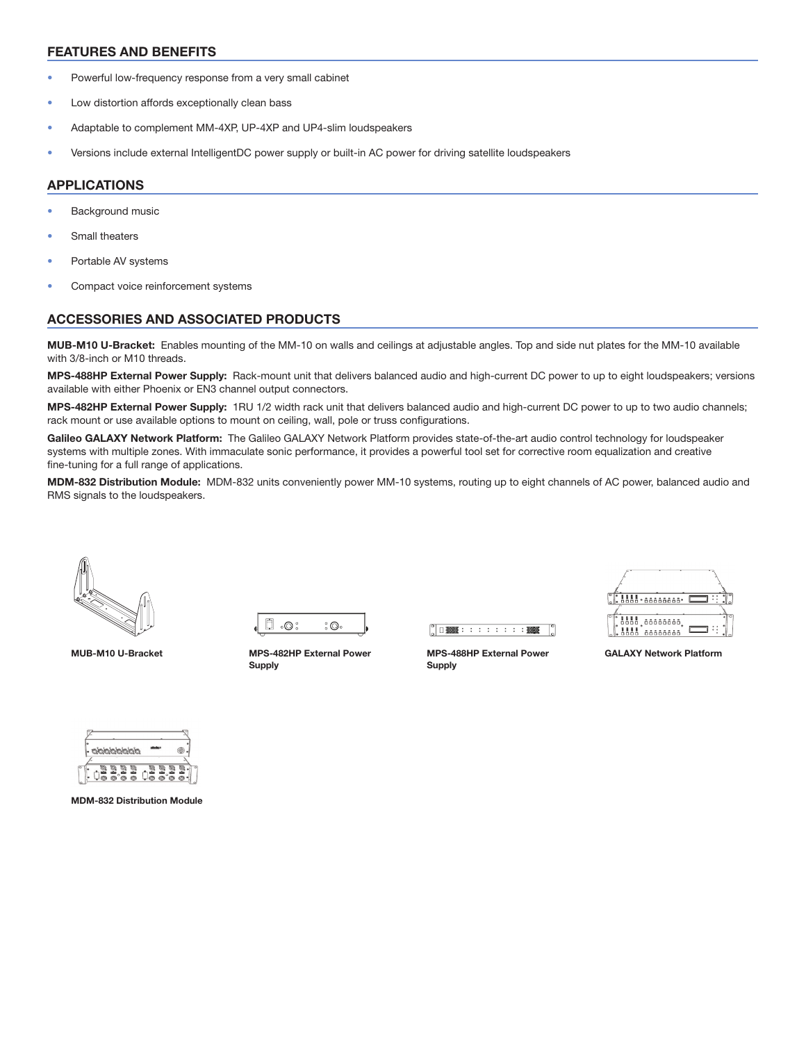#### FEATURES AND BENEFITS

- Powerful low-frequency response from a very small cabinet
- Low distortion affords exceptionally clean bass
- Adaptable to complement MM‑4XP, UP‑4XP and UP4-slim loudspeakers
- Versions include external IntelligentDC power supply or built-in AC power for driving satellite loudspeakers

#### APPLICATIONS

- Background music
- Small theaters
- Portable AV systems
- Compact voice reinforcement systems

#### ACCESSORIES AND ASSOCIATED PRODUCTS

MUB-M10 U-Bracket: Enables mounting of the MM-10 on walls and ceilings at adjustable angles. Top and side nut plates for the MM-10 available with 3/8-inch or M10 threads.

MPS-488HP External Power Supply: Rack-mount unit that delivers balanced audio and high-current DC power to up to eight loudspeakers; versions available with either Phoenix or EN3 channel output connectors.

MPS-482HP External Power Supply: 1RU 1/2 width rack unit that delivers balanced audio and high-current DC power to up to two audio channels; rack mount or use available options to mount on ceiling, wall, pole or truss configurations.

Galileo GALAXY Network Platform: The Galileo GALAXY Network Platform provides state-of-the-art audio control technology for loudspeaker systems with multiple zones. With immaculate sonic performance, it provides a powerful tool set for corrective room equalization and creative fine-tuning for a full range of applications.

MDM-832 Distribution Module: MDM-832 units conveniently power MM-10 systems, routing up to eight channels of AC power, balanced audio and RMS signals to the loudspeakers.





MUB-M10 U-Bracket MPS-482HP External Power Supply



MPS-488HP External Power Supply



GALAXY Network Platform



MDM-832 Distribution Module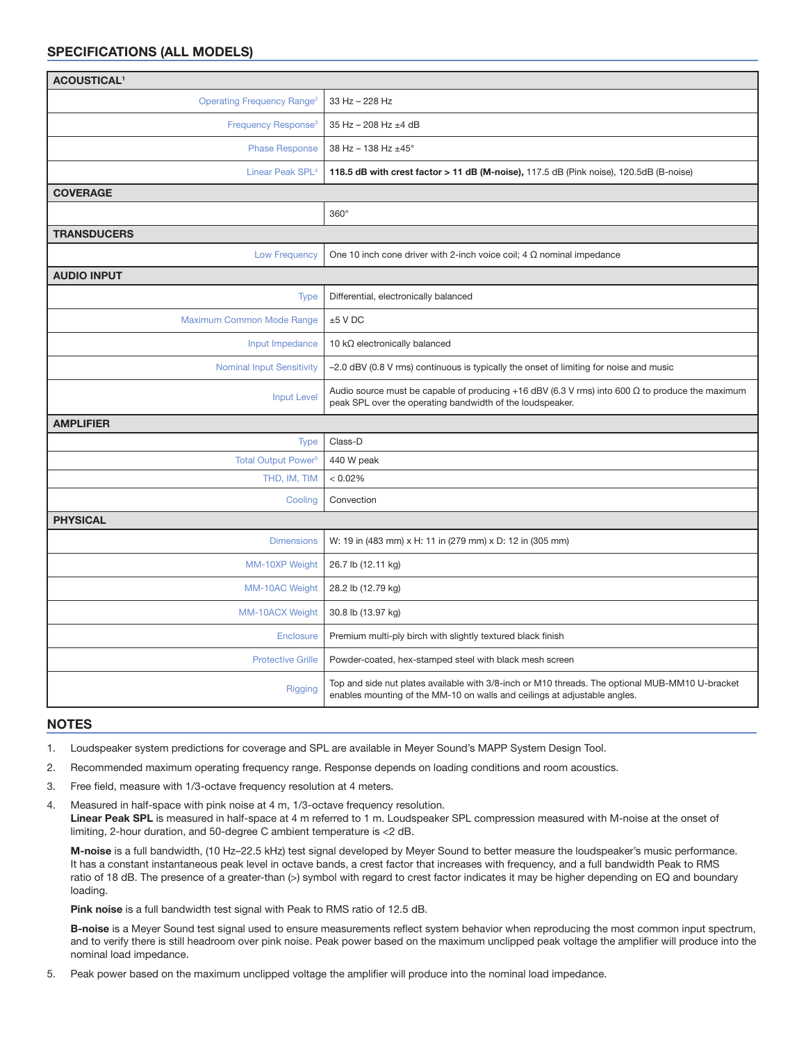#### SPECIFICATIONS (ALL MODELS)

| <b>ACOUSTICAL<sup>1</sup></b>                |                                                                                                                                                                              |
|----------------------------------------------|------------------------------------------------------------------------------------------------------------------------------------------------------------------------------|
| <b>Operating Frequency Range<sup>2</sup></b> | 33 Hz - 228 Hz                                                                                                                                                               |
| Frequency Response <sup>3</sup>              | 35 Hz - 208 Hz ±4 dB                                                                                                                                                         |
| <b>Phase Response</b>                        | 38 Hz - 138 Hz ±45°                                                                                                                                                          |
| Linear Peak SPL <sup>4</sup>                 | 118.5 dB with crest factor > 11 dB (M-noise), 117.5 dB (Pink noise), 120.5dB (B-noise)                                                                                       |
| <b>COVERAGE</b>                              |                                                                                                                                                                              |
|                                              | $360^\circ$                                                                                                                                                                  |
| <b>TRANSDUCERS</b>                           |                                                                                                                                                                              |
| <b>Low Frequency</b>                         | One 10 inch cone driver with 2-inch voice coil; 4 $\Omega$ nominal impedance                                                                                                 |
| <b>AUDIO INPUT</b>                           |                                                                                                                                                                              |
| <b>Type</b>                                  | Differential, electronically balanced                                                                                                                                        |
| Maximum Common Mode Range                    | $±5$ V DC                                                                                                                                                                    |
| Input Impedance                              | 10 $k\Omega$ electronically balanced                                                                                                                                         |
| <b>Nominal Input Sensitivity</b>             | -2.0 dBV (0.8 V rms) continuous is typically the onset of limiting for noise and music                                                                                       |
| <b>Input Level</b>                           | Audio source must be capable of producing +16 dBV (6.3 V rms) into 600 $\Omega$ to produce the maximum<br>peak SPL over the operating bandwidth of the loudspeaker.          |
| <b>AMPLIFIER</b>                             |                                                                                                                                                                              |
| <b>Type</b>                                  | Class-D                                                                                                                                                                      |
| Total Output Power <sup>5</sup>              | 440 W peak                                                                                                                                                                   |
| THD, IM, TIM                                 | < 0.02%                                                                                                                                                                      |
| Cooling                                      | Convection                                                                                                                                                                   |
| <b>PHYSICAL</b>                              |                                                                                                                                                                              |
| <b>Dimensions</b>                            | W: 19 in (483 mm) x H: 11 in (279 mm) x D: 12 in (305 mm)                                                                                                                    |
| MM-10XP Weight                               | 26.7 lb (12.11 kg)                                                                                                                                                           |
| MM-10AC Weight                               | 28.2 lb (12.79 kg)                                                                                                                                                           |
| <b>MM-10ACX Weight</b>                       | 30.8 lb (13.97 kg)                                                                                                                                                           |
| <b>Enclosure</b>                             | Premium multi-ply birch with slightly textured black finish                                                                                                                  |
| <b>Protective Grille</b>                     | Powder-coated, hex-stamped steel with black mesh screen                                                                                                                      |
| Rigging                                      | Top and side nut plates available with 3/8-inch or M10 threads. The optional MUB-MM10 U-bracket<br>enables mounting of the MM-10 on walls and ceilings at adjustable angles. |

#### NOTES

1. Loudspeaker system predictions for coverage and SPL are available in Meyer Sound's MAPP System Design Tool.

- 2. Recommended maximum operating frequency range. Response depends on loading conditions and room acoustics.
- 3. Free field, measure with 1/3-octave frequency resolution at 4 meters.

4. Measured in half-space with pink noise at 4 m, 1/3-octave frequency resolution. Linear Peak SPL is measured in half-space at 4 m referred to 1 m. Loudspeaker SPL compression measured with M-noise at the onset of limiting, 2-hour duration, and 50-degree C ambient temperature is <2 dB.

M-noise is a full bandwidth, (10 Hz–22.5 kHz) test signal developed by Meyer Sound to better measure the loudspeaker's music performance. It has a constant instantaneous peak level in octave bands, a crest factor that increases with frequency, and a full bandwidth Peak to RMS ratio of 18 dB. The presence of a greater-than (>) symbol with regard to crest factor indicates it may be higher depending on EQ and boundary loading.

Pink noise is a full bandwidth test signal with Peak to RMS ratio of 12.5 dB.

B-noise is a Meyer Sound test signal used to ensure measurements reflect system behavior when reproducing the most common input spectrum, and to verify there is still headroom over pink noise. Peak power based on the maximum unclipped peak voltage the amplifier will produce into the nominal load impedance.

5. Peak power based on the maximum unclipped voltage the amplifier will produce into the nominal load impedance.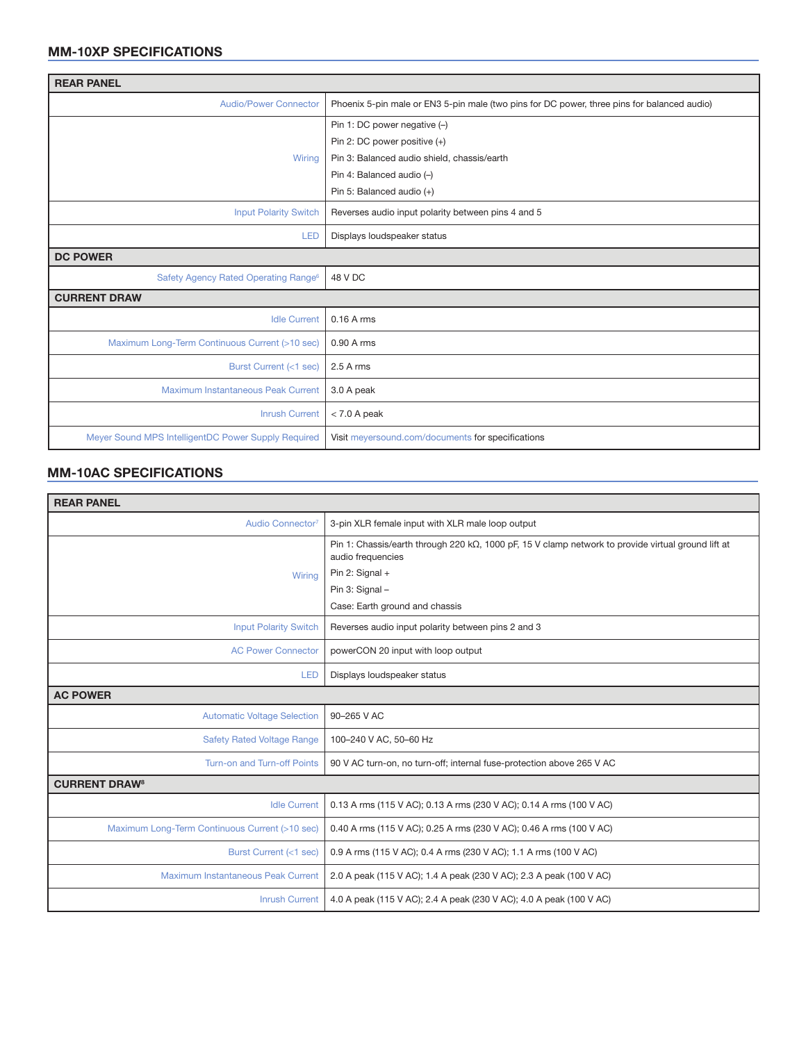## MM-10XP SPECIFICATIONS

| <b>REAR PANEL</b>                                   |                                                                                             |  |
|-----------------------------------------------------|---------------------------------------------------------------------------------------------|--|
| <b>Audio/Power Connector</b>                        | Phoenix 5-pin male or EN3 5-pin male (two pins for DC power, three pins for balanced audio) |  |
|                                                     | Pin 1: DC power negative (-)                                                                |  |
|                                                     | Pin 2: DC power positive (+)                                                                |  |
| Wiring                                              | Pin 3: Balanced audio shield, chassis/earth                                                 |  |
|                                                     | Pin 4: Balanced audio (-)                                                                   |  |
|                                                     | Pin 5: Balanced audio (+)                                                                   |  |
| <b>Input Polarity Switch</b>                        | Reverses audio input polarity between pins 4 and 5                                          |  |
| <b>LED</b>                                          | Displays loudspeaker status                                                                 |  |
| <b>DC POWER</b>                                     |                                                                                             |  |
| Safety Agency Rated Operating Range <sup>6</sup>    | 48 V DC                                                                                     |  |
| <b>CURRENT DRAW</b>                                 |                                                                                             |  |
| <b>Idle Current</b>                                 | 0.16 A rms                                                                                  |  |
| Maximum Long-Term Continuous Current (>10 sec)      | 0.90 A rms                                                                                  |  |
| Burst Current (<1 sec)                              | $2.5A$ rms                                                                                  |  |
| Maximum Instantaneous Peak Current                  | 3.0 A peak                                                                                  |  |
| <b>Inrush Current</b>                               | $< 7.0$ A peak                                                                              |  |
| Meyer Sound MPS IntelligentDC Power Supply Required | Visit meyersound.com/documents for specifications                                           |  |

#### MM-10AC SPECIFICATIONS

| <b>REAR PANEL</b>                              |                                                                                                                                  |  |
|------------------------------------------------|----------------------------------------------------------------------------------------------------------------------------------|--|
| Audio Connector <sup>7</sup>                   | 3-pin XLR female input with XLR male loop output                                                                                 |  |
|                                                | Pin 1: Chassis/earth through 220 k $\Omega$ , 1000 pF, 15 V clamp network to provide virtual ground lift at<br>audio frequencies |  |
| Wirina                                         | Pin 2: Signal +                                                                                                                  |  |
|                                                | Pin 3: Signal -                                                                                                                  |  |
|                                                | Case: Earth ground and chassis                                                                                                   |  |
| <b>Input Polarity Switch</b>                   | Reverses audio input polarity between pins 2 and 3                                                                               |  |
| <b>AC Power Connector</b>                      | powerCON 20 input with loop output                                                                                               |  |
| <b>LED</b>                                     | Displays loudspeaker status                                                                                                      |  |
| <b>AC POWER</b>                                |                                                                                                                                  |  |
| <b>Automatic Voltage Selection</b>             | 90-265 V AC                                                                                                                      |  |
| <b>Safety Rated Voltage Range</b>              | 100-240 V AC, 50-60 Hz                                                                                                           |  |
| Turn-on and Turn-off Points                    | 90 V AC turn-on, no turn-off; internal fuse-protection above 265 V AC                                                            |  |
| <b>CURRENT DRAW<sup>8</sup></b>                |                                                                                                                                  |  |
| <b>Idle Current</b>                            | 0.13 A rms (115 V AC); 0.13 A rms (230 V AC); 0.14 A rms (100 V AC)                                                              |  |
| Maximum Long-Term Continuous Current (>10 sec) | 0.40 A rms (115 V AC); 0.25 A rms (230 V AC); 0.46 A rms (100 V AC)                                                              |  |
| Burst Current (<1 sec)                         | 0.9 A rms (115 V AC); 0.4 A rms (230 V AC); 1.1 A rms (100 V AC)                                                                 |  |
| Maximum Instantaneous Peak Current             | 2.0 A peak (115 V AC); 1.4 A peak (230 V AC); 2.3 A peak (100 V AC)                                                              |  |
| <b>Inrush Current</b>                          | 4.0 A peak (115 V AC); 2.4 A peak (230 V AC); 4.0 A peak (100 V AC)                                                              |  |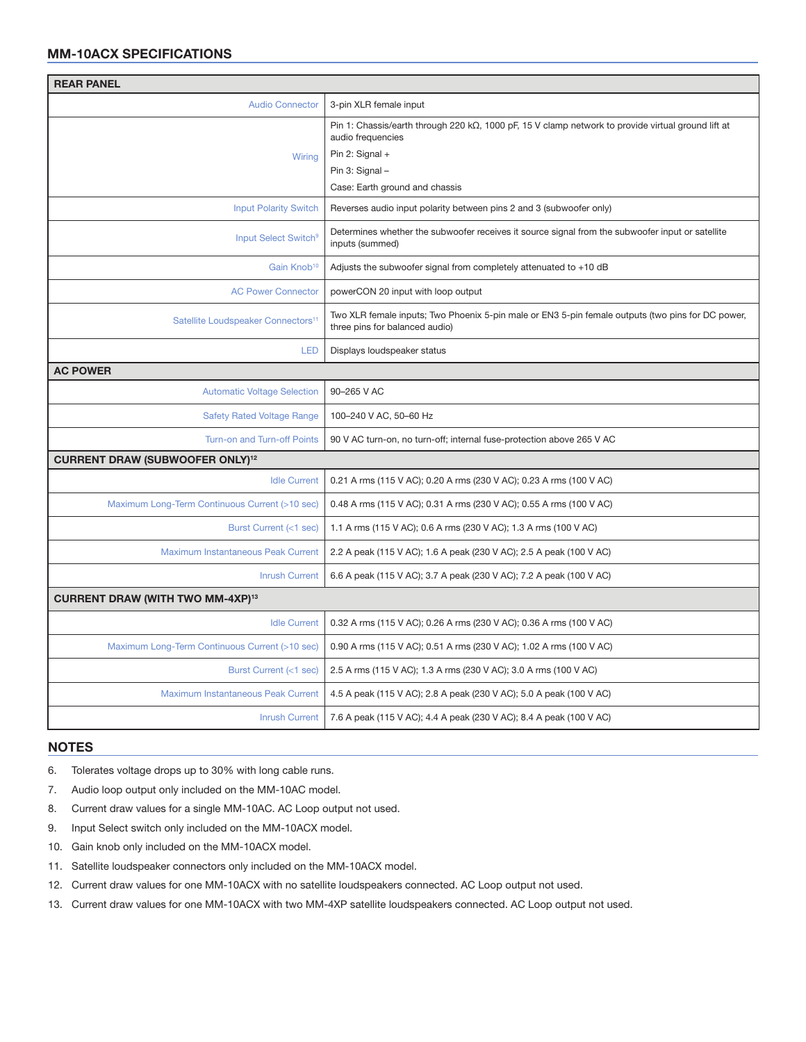## MM-10ACX SPECIFICATIONS

| <b>REAR PANEL</b>                                 |                                                                                                                                                                                                          |  |
|---------------------------------------------------|----------------------------------------------------------------------------------------------------------------------------------------------------------------------------------------------------------|--|
| <b>Audio Connector</b>                            | 3-pin XLR female input                                                                                                                                                                                   |  |
| Wiring                                            | Pin 1: Chassis/earth through 220 k $\Omega$ , 1000 pF, 15 V clamp network to provide virtual ground lift at<br>audio frequencies<br>Pin 2: Signal +<br>Pin 3: Signal -<br>Case: Earth ground and chassis |  |
| <b>Input Polarity Switch</b>                      | Reverses audio input polarity between pins 2 and 3 (subwoofer only)                                                                                                                                      |  |
| Input Select Switch <sup>9</sup>                  | Determines whether the subwoofer receives it source signal from the subwoofer input or satellite<br>inputs (summed)                                                                                      |  |
| Gain Knob <sup>10</sup>                           | Adjusts the subwoofer signal from completely attenuated to +10 dB                                                                                                                                        |  |
| <b>AC Power Connector</b>                         | powerCON 20 input with loop output                                                                                                                                                                       |  |
| Satellite Loudspeaker Connectors <sup>11</sup>    | Two XLR female inputs; Two Phoenix 5-pin male or EN3 5-pin female outputs (two pins for DC power,<br>three pins for balanced audio)                                                                      |  |
| <b>LED</b>                                        | Displays loudspeaker status                                                                                                                                                                              |  |
| <b>AC POWER</b>                                   |                                                                                                                                                                                                          |  |
| <b>Automatic Voltage Selection</b>                | 90-265 V AC                                                                                                                                                                                              |  |
| <b>Safety Rated Voltage Range</b>                 | 100-240 V AC, 50-60 Hz                                                                                                                                                                                   |  |
| Turn-on and Turn-off Points                       | 90 V AC turn-on, no turn-off; internal fuse-protection above 265 V AC                                                                                                                                    |  |
| <b>CURRENT DRAW (SUBWOOFER ONLY)<sup>12</sup></b> |                                                                                                                                                                                                          |  |
| <b>Idle Current</b>                               | 0.21 A rms (115 V AC); 0.20 A rms (230 V AC); 0.23 A rms (100 V AC)                                                                                                                                      |  |
| Maximum Long-Term Continuous Current (>10 sec)    | 0.48 A rms (115 V AC); 0.31 A rms (230 V AC); 0.55 A rms (100 V AC)                                                                                                                                      |  |
| Burst Current (<1 sec)                            | 1.1 A rms (115 V AC); 0.6 A rms (230 V AC); 1.3 A rms (100 V AC)                                                                                                                                         |  |
| Maximum Instantaneous Peak Current                | 2.2 A peak (115 V AC); 1.6 A peak (230 V AC); 2.5 A peak (100 V AC)                                                                                                                                      |  |
| <b>Inrush Current</b>                             | 6.6 A peak (115 V AC); 3.7 A peak (230 V AC); 7.2 A peak (100 V AC)                                                                                                                                      |  |
| <b>CURRENT DRAW (WITH TWO MM-4XP)13</b>           |                                                                                                                                                                                                          |  |
| <b>Idle Current</b>                               | 0.32 A rms (115 V AC); 0.26 A rms (230 V AC); 0.36 A rms (100 V AC)                                                                                                                                      |  |
| Maximum Long-Term Continuous Current (>10 sec)    | 0.90 A rms (115 V AC); 0.51 A rms (230 V AC); 1.02 A rms (100 V AC)                                                                                                                                      |  |
| Burst Current (<1 sec)                            | 2.5 A rms (115 V AC); 1.3 A rms (230 V AC); 3.0 A rms (100 V AC)                                                                                                                                         |  |
| Maximum Instantaneous Peak Current                | 4.5 A peak (115 V AC); 2.8 A peak (230 V AC); 5.0 A peak (100 V AC)                                                                                                                                      |  |
| <b>Inrush Current</b>                             | 7.6 A peak (115 V AC); 4.4 A peak (230 V AC); 8.4 A peak (100 V AC)                                                                                                                                      |  |

#### NOTES

6. Tolerates voltage drops up to 30% with long cable runs.

- 7. Audio loop output only included on the MM-10AC model.
- 8. Current draw values for a single MM-10AC. AC Loop output not used.
- 9. Input Select switch only included on the MM-10ACX model.
- 10. Gain knob only included on the MM-10ACX model.
- 11. Satellite loudspeaker connectors only included on the MM-10ACX model.
- 12. Current draw values for one MM‑10ACX with no satellite loudspeakers connected. AC Loop output not used.
- 13. Current draw values for one MM-10ACX with two MM-4XP satellite loudspeakers connected. AC Loop output not used.